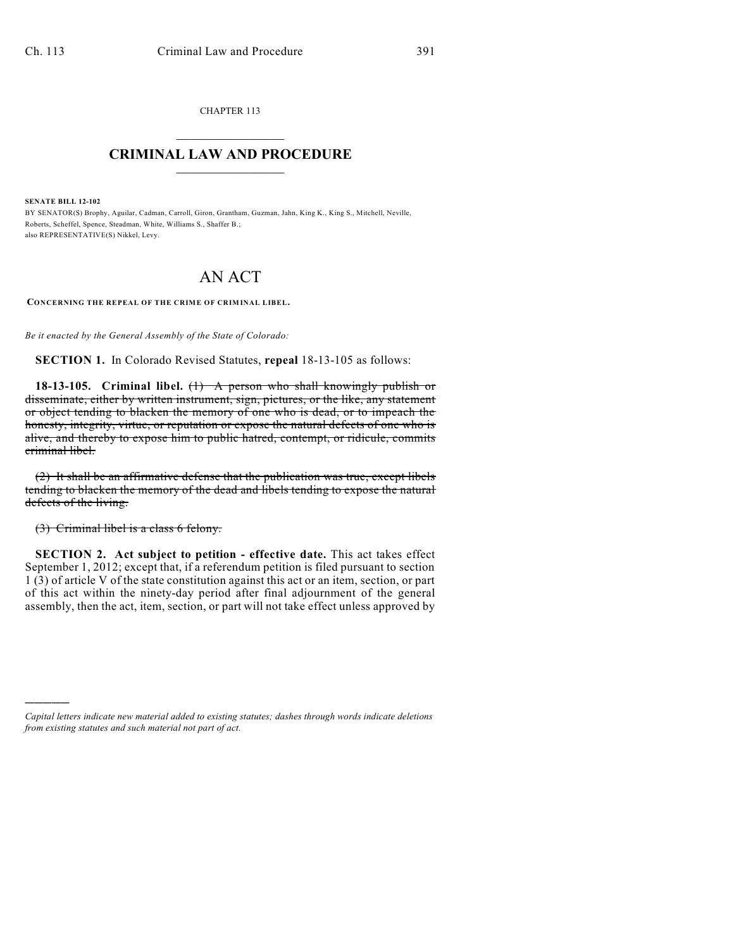CHAPTER 113  $\mathcal{L}_\text{max}$  . The set of the set of the set of the set of the set of the set of the set of the set of the set of the set of the set of the set of the set of the set of the set of the set of the set of the set of the set

## **CRIMINAL LAW AND PROCEDURE**  $\_$   $\_$   $\_$   $\_$   $\_$   $\_$   $\_$   $\_$   $\_$   $\_$

**SENATE BILL 12-102**

)))))

BY SENATOR(S) Brophy, Aguilar, Cadman, Carroll, Giron, Grantham, Guzman, Jahn, King K., King S., Mitchell, Neville, Roberts, Scheffel, Spence, Steadman, White, Williams S., Shaffer B.; also REPRESENTATIVE(S) Nikkel, Levy.

## AN ACT

**CONCERNING THE REPEAL OF THE CRIME OF CRIMINAL LIBEL.**

*Be it enacted by the General Assembly of the State of Colorado:*

**SECTION 1.** In Colorado Revised Statutes, **repeal** 18-13-105 as follows:

**18-13-105. Criminal libel.** (1) A person who shall knowingly publish or disseminate, either by written instrument, sign, pictures, or the like, any statement or object tending to blacken the memory of one who is dead, or to impeach the honesty, integrity, virtue, or reputation or expose the natural defects of one who is alive, and thereby to expose him to public hatred, contempt, or ridicule, commits criminal libel.

(2) It shall be an affirmative defense that the publication was true, except libels tending to blacken the memory of the dead and libels tending to expose the natural defects of the living.

(3) Criminal libel is a class 6 felony.

**SECTION 2. Act subject to petition - effective date.** This act takes effect September 1, 2012; except that, if a referendum petition is filed pursuant to section 1 (3) of article V of the state constitution against this act or an item, section, or part of this act within the ninety-day period after final adjournment of the general assembly, then the act, item, section, or part will not take effect unless approved by

*Capital letters indicate new material added to existing statutes; dashes through words indicate deletions from existing statutes and such material not part of act.*